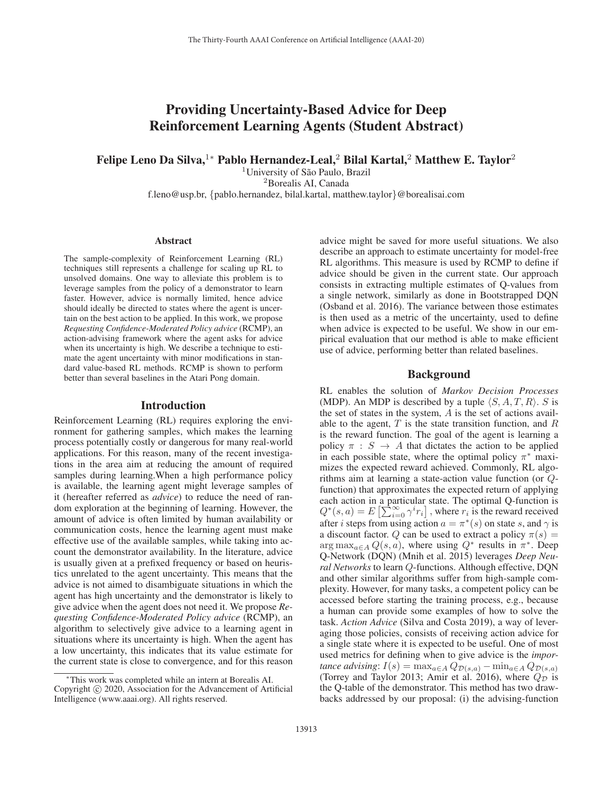# Providing Uncertainty-Based Advice for Deep Reinforcement Learning Agents (Student Abstract)

Felipe Leno Da Silva,<sup>1</sup>\* Pablo Hernandez-Leal,<sup>2</sup> Bilal Kartal,<sup>2</sup> Matthew E. Taylor<sup>2</sup>

<sup>1</sup>University of São Paulo, Brazil <sup>2</sup>Borealis AI, Canada

f.leno@usp.br, {pablo.hernandez, bilal.kartal, matthew.taylor}@borealisai.com

#### **Abstract**

The sample-complexity of Reinforcement Learning (RL) techniques still represents a challenge for scaling up RL to unsolved domains. One way to alleviate this problem is to leverage samples from the policy of a demonstrator to learn faster. However, advice is normally limited, hence advice should ideally be directed to states where the agent is uncertain on the best action to be applied. In this work, we propose *Requesting Confidence-Moderated Policy advice* (RCMP), an action-advising framework where the agent asks for advice when its uncertainty is high. We describe a technique to estimate the agent uncertainty with minor modifications in standard value-based RL methods. RCMP is shown to perform better than several baselines in the Atari Pong domain.

#### Introduction

Reinforcement Learning (RL) requires exploring the environment for gathering samples, which makes the learning process potentially costly or dangerous for many real-world applications. For this reason, many of the recent investigations in the area aim at reducing the amount of required samples during learning.When a high performance policy is available, the learning agent might leverage samples of it (hereafter referred as *advice*) to reduce the need of random exploration at the beginning of learning. However, the amount of advice is often limited by human availability or communication costs, hence the learning agent must make effective use of the available samples, while taking into account the demonstrator availability. In the literature, advice is usually given at a prefixed frequency or based on heuristics unrelated to the agent uncertainty. This means that the advice is not aimed to disambiguate situations in which the agent has high uncertainty and the demonstrator is likely to give advice when the agent does not need it. We propose *Requesting Confidence-Moderated Policy advice* (RCMP), an algorithm to selectively give advice to a learning agent in situations where its uncertainty is high. When the agent has a low uncertainty, this indicates that its value estimate for the current state is close to convergence, and for this reason advice might be saved for more useful situations. We also describe an approach to estimate uncertainty for model-free RL algorithms. This measure is used by RCMP to define if advice should be given in the current state. Our approach consists in extracting multiple estimates of Q-values from a single network, similarly as done in Bootstrapped DQN (Osband et al. 2016). The variance between those estimates is then used as a metric of the uncertainty, used to define when advice is expected to be useful. We show in our empirical evaluation that our method is able to make efficient use of advice, performing better than related baselines.

### Background

RL enables the solution of *Markov Decision Processes* (MDP). An MDP is described by a tuple  $\langle S, A, T, R \rangle$ . S is the set of states in the system,  $A$  is the set of actions available to the agent,  $T$  is the state transition function, and  $R$ is the reward function. The goal of the agent is learning a policy  $\pi : S \to A$  that dictates the action to be applied in each possible state, where the optimal policy  $\pi^*$  maximizes the expected reward achieved. Commonly, RL algorithms aim at learning a state-action value function (or Qfunction) that approximates the expected return of applying each action in a particular state. The optimal Q-function is  $Q^*(s, a) = E\left[\sum_{i=0}^{\infty} \gamma^i r_i\right]$ , where  $r_i$  is the reward received<br>after *i* steps from using action  $a = \pi^*(s)$  on state s, and  $\gamma$  is after *i* steps from using action  $a = \pi^*(s)$  on state s, and  $\gamma$  is a discount factor. Q can be used to extract a policy  $\pi(s)$  =  $\arg \max_{a \in A} Q(s, a)$ , where using  $Q^*$  results in  $\pi^*$ . Deep Q-Network (DQN) (Mnih et al. 2015) leverages *Deep Neural Networks* to learn Q-functions. Although effective, DQN and other similar algorithms suffer from high-sample complexity. However, for many tasks, a competent policy can be accessed before starting the training process, e.g., because a human can provide some examples of how to solve the task. *Action Advice* (Silva and Costa 2019), a way of leveraging those policies, consists of receiving action advice for a single state where it is expected to be useful. One of most used metrics for defining when to give advice is the *importance advising*:  $I(s) = \max_{a \in A} Q_{\mathcal{D}(s,a)} - \min_{a \in A} Q_{\mathcal{D}(s,a)}$ (Torrey and Taylor 2013; Amir et al. 2016), where  $Q_{\mathcal{D}}^{(1)}$  is the Q-table of the demonstrator. This method has two drawbacks addressed by our proposal: (i) the advising-function

<sup>∗</sup>This work was completed while an intern at Borealis AI. Copyright  $\odot$  2020, Association for the Advancement of Artificial Intelligence (www.aaai.org). All rights reserved.